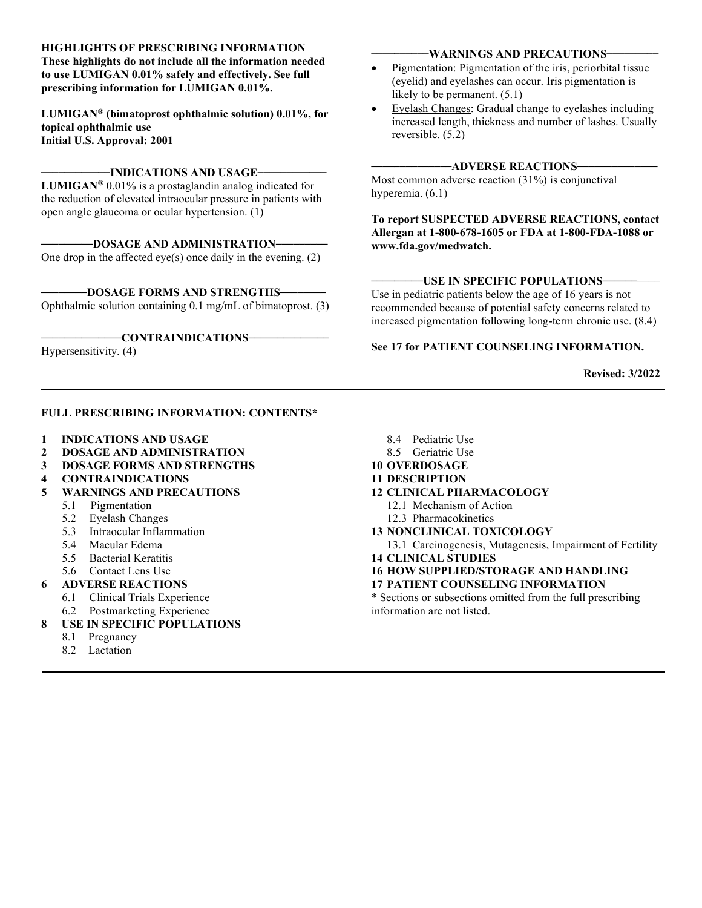#### HIGHLIGHTS OF PRESCRIBING INFORMATION

These highlights do not include all the information needed to use LUMIGAN 0.01% safely and effectively. See full prescribing information for LUMIGAN 0.01%.

LUMIGAN® (bimatoprost ophthalmic solution) 0.01%, for topical ophthalmic use Initial U.S. Approval: 2001

#### $-$ INDICATIONS AND USAGE $-$

**LUMIGAN®** 0.01% is a prostaglandin analog indicated for the reduction of elevated intraocular pressure in patients with open angle glaucoma or ocular hypertension. (1)

-DOSAGE AND ADMINISTRATION-

One drop in the affected eye(s) once daily in the evening. (2)

-DOSAGE FORMS AND STRENGTHS-Ophthalmic solution containing 0.1 mg/mL of bimatoprost. (3)

#### \_\_\_\_\_\_\_\_\_\_\_\_\_\_CONTRAINDICATIONS\_\_\_\_\_\_\_\_\_\_\_\_\_\_

Hypersensitivity. (4)

### FULL PRESCRIBING INFORMATION: CONTENTS\*

- 1 INDICATIONS AND USAGE
- 2 DOSAGE AND ADMINISTRATION
- 3 DOSAGE FORMS AND STRENGTHS
- 4 CONTRAINDICATIONS
- 5 WARNINGS AND PRECAUTIONS
	- 5.1 Pigmentation
	- 5.2 Eyelash Changes
	- 5.3 Intraocular Inflammation
	- 5.4 Macular Edema
	- 5.5 Bacterial Keratitis
	- 5.6 Contact Lens Use
	- 6 ADVERSE REACTIONS
		- 6.1 Clinical Trials Experience
		- 6.2 Postmarketing Experience
	- USE IN SPECIFIC POPULATIONS
		- 8.1 Pregnancy
		- 8.2 Lactation
- 8.4 Pediatric Use
- 8.5 Geriatric Use
- 10 OVERDOSAGE
- 11 DESCRIPTION
- 12 CLINICAL PHARMACOLOGY
	- 12.1 Mechanism of Action
	- 12.3 Pharmacokinetics
- 13 NONCLINICAL TOXICOLOGY
- 13.1 Carcinogenesis, Mutagenesis, Impairment of Fertility 14 CLINICAL STUDIES
- 16 HOW SUPPLIED/STORAGE AND HANDLING
- 17 PATIENT COUNSELING INFORMATION

\* Sections or subsections omitted from the full prescribing information are not listed.

#### -WARNINGS AND PRECAUTIONS-

- Pigmentation: Pigmentation of the iris, periorbital tissue (eyelid) and eyelashes can occur. Iris pigmentation is likely to be permanent. (5.1)
- Eyelash Changes: Gradual change to eyelashes including increased length, thickness and number of lashes. Usually reversible. (5.2)

#### $-$ ADVERSE REACTIONS $-$

Most common adverse reaction (31%) is conjunctival hyperemia. (6.1)

To report SUSPECTED ADVERSE REACTIONS, contact Allergan at 1-800-678-1605 or FDA at 1-800-FDA-1088 or www.fda.gov/medwatch.

#### $-$ USE IN SPECIFIC POPULATIONS $-$

Use in pediatric patients below the age of 16 years is not recommended because of potential safety concerns related to increased pigmentation following long-term chronic use. (8.4)

#### See 17 for PATIENT COUNSELING INFORMATION.

Revised: 3/2022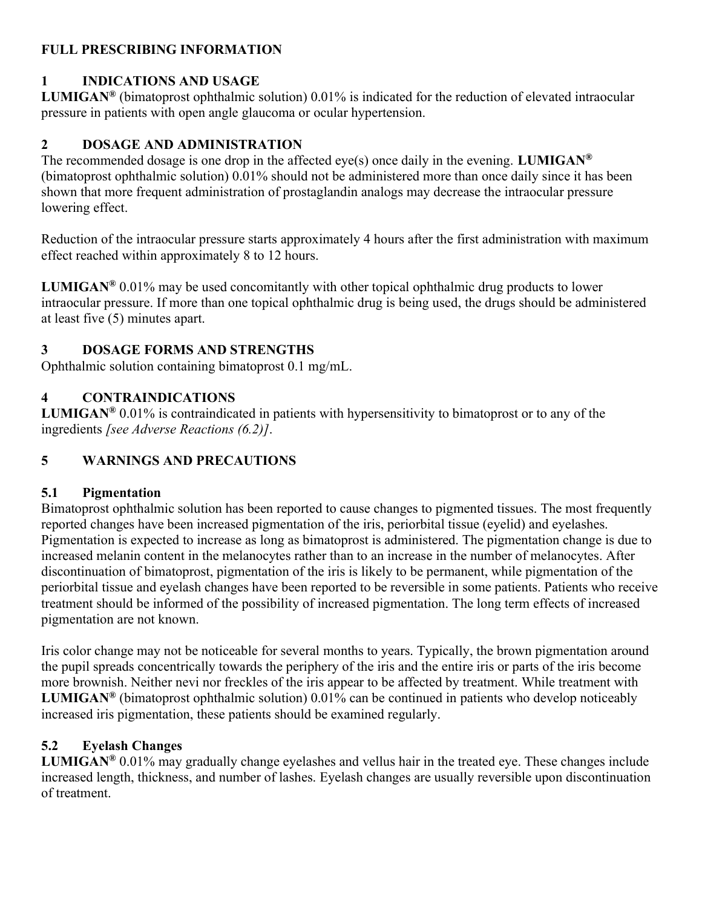## FULL PRESCRIBING INFORMATION

## 1 INDICATIONS AND USAGE

LUMIGAN® (bimatoprost ophthalmic solution) 0.01% is indicated for the reduction of elevated intraocular pressure in patients with open angle glaucoma or ocular hypertension.

## 2 DOSAGE AND ADMINISTRATION

The recommended dosage is one drop in the affected eye(s) once daily in the evening. LUMIGAN<sup>®</sup> (bimatoprost ophthalmic solution) 0.01% should not be administered more than once daily since it has been shown that more frequent administration of prostaglandin analogs may decrease the intraocular pressure lowering effect.

Reduction of the intraocular pressure starts approximately 4 hours after the first administration with maximum effect reached within approximately 8 to 12 hours.

**LUMIGAN<sup>®</sup>** 0.01% may be used concomitantly with other topical ophthalmic drug products to lower intraocular pressure. If more than one topical ophthalmic drug is being used, the drugs should be administered at least five (5) minutes apart.

# 3 DOSAGE FORMS AND STRENGTHS

Ophthalmic solution containing bimatoprost 0.1 mg/mL.

# 4 CONTRAINDICATIONS

**LUMIGAN<sup>®</sup>** 0.01% is contraindicated in patients with hypersensitivity to bimatoprost or to any of the ingredients [see Adverse Reactions (6.2)].

# 5 WARNINGS AND PRECAUTIONS

## 5.1 Pigmentation

Bimatoprost ophthalmic solution has been reported to cause changes to pigmented tissues. The most frequently reported changes have been increased pigmentation of the iris, periorbital tissue (eyelid) and eyelashes. Pigmentation is expected to increase as long as bimatoprost is administered. The pigmentation change is due to increased melanin content in the melanocytes rather than to an increase in the number of melanocytes. After discontinuation of bimatoprost, pigmentation of the iris is likely to be permanent, while pigmentation of the periorbital tissue and eyelash changes have been reported to be reversible in some patients. Patients who receive treatment should be informed of the possibility of increased pigmentation. The long term effects of increased pigmentation are not known.

Iris color change may not be noticeable for several months to years. Typically, the brown pigmentation around the pupil spreads concentrically towards the periphery of the iris and the entire iris or parts of the iris become more brownish. Neither nevi nor freckles of the iris appear to be affected by treatment. While treatment with **LUMIGAN®** (bimatoprost ophthalmic solution) 0.01% can be continued in patients who develop noticeably increased iris pigmentation, these patients should be examined regularly.

# 5.2 Eyelash Changes

**LUMIGAN<sup>®</sup> 0.01% may gradually change eyelashes and vellus hair in the treated eye. These changes include** increased length, thickness, and number of lashes. Eyelash changes are usually reversible upon discontinuation of treatment.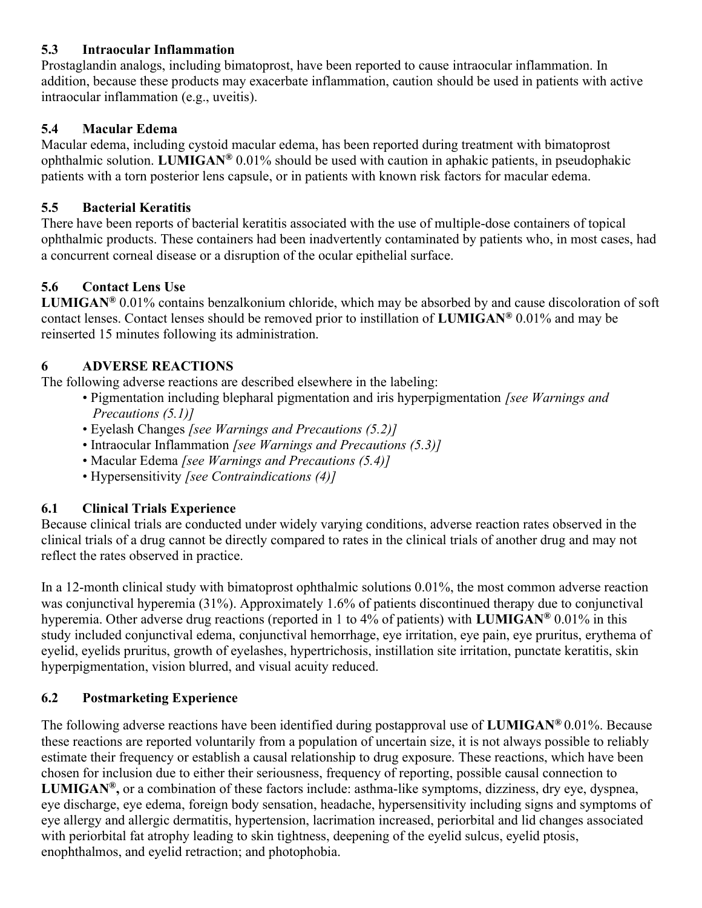## 5.3 Intraocular Inflammation

Prostaglandin analogs, including bimatoprost, have been reported to cause intraocular inflammation. In addition, because these products may exacerbate inflammation, caution should be used in patients with active intraocular inflammation (e.g., uveitis).

## 5.4 Macular Edema

Macular edema, including cystoid macular edema, has been reported during treatment with bimatoprost ophthalmic solution. LUMIGAN<sup>®</sup> 0.01% should be used with caution in aphakic patients, in pseudophakic patients with a torn posterior lens capsule, or in patients with known risk factors for macular edema.

# 5.5 Bacterial Keratitis

There have been reports of bacterial keratitis associated with the use of multiple-dose containers of topical ophthalmic products. These containers had been inadvertently contaminated by patients who, in most cases, had a concurrent corneal disease or a disruption of the ocular epithelial surface.

## 5.6 Contact Lens Use

LUMIGAN® 0.01% contains benzalkonium chloride, which may be absorbed by and cause discoloration of soft contact lenses. Contact lenses should be removed prior to instillation of LUMIGAN® 0.01% and may be reinserted 15 minutes following its administration.

## 6 ADVERSE REACTIONS

The following adverse reactions are described elsewhere in the labeling:

- Pigmentation including blepharal pigmentation and iris hyperpigmentation *[see Warnings and* Precautions (5.1)]
- Eyelash Changes [see Warnings and Precautions (5.2)]
- Intraocular Inflammation [see Warnings and Precautions (5.3)]
- Macular Edema [see Warnings and Precautions (5.4)]
- Hypersensitivity [see Contraindications (4)]

# 6.1 Clinical Trials Experience

Because clinical trials are conducted under widely varying conditions, adverse reaction rates observed in the clinical trials of a drug cannot be directly compared to rates in the clinical trials of another drug and may not reflect the rates observed in practice.

In a 12-month clinical study with bimatoprost ophthalmic solutions 0.01%, the most common adverse reaction was conjunctival hyperemia (31%). Approximately 1.6% of patients discontinued therapy due to conjunctival hyperemia. Other adverse drug reactions (reported in 1 to 4% of patients) with **LUMIGAN**<sup>®</sup> 0.01% in this study included conjunctival edema, conjunctival hemorrhage, eye irritation, eye pain, eye pruritus, erythema of eyelid, eyelids pruritus, growth of eyelashes, hypertrichosis, instillation site irritation, punctate keratitis, skin hyperpigmentation, vision blurred, and visual acuity reduced.

# 6.2 Postmarketing Experience

The following adverse reactions have been identified during postapproval use of LUMIGAN® 0.01%. Because these reactions are reported voluntarily from a population of uncertain size, it is not always possible to reliably estimate their frequency or establish a causal relationship to drug exposure. These reactions, which have been chosen for inclusion due to either their seriousness, frequency of reporting, possible causal connection to **LUMIGAN®**, or a combination of these factors include: asthma-like symptoms, dizziness, dry eye, dyspnea, eye discharge, eye edema, foreign body sensation, headache, hypersensitivity including signs and symptoms of eye allergy and allergic dermatitis, hypertension, lacrimation increased, periorbital and lid changes associated with periorbital fat atrophy leading to skin tightness, deepening of the eyelid sulcus, eyelid ptosis, enophthalmos, and eyelid retraction; and photophobia.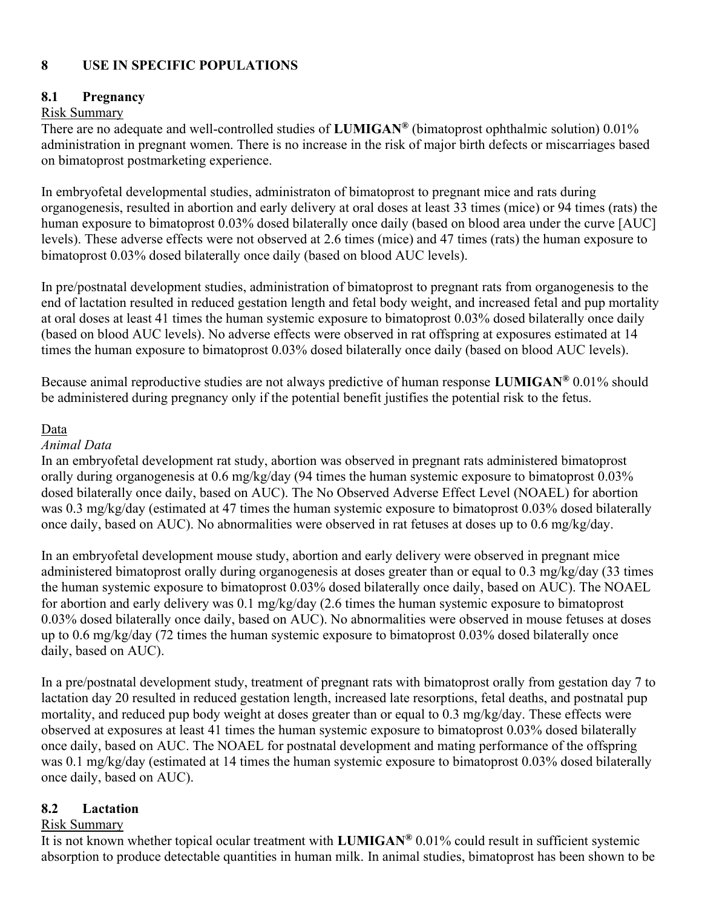### 8 USE IN SPECIFIC POPULATIONS

#### 8.1 Pregnancy

### Risk Summary

There are no adequate and well-controlled studies of **LUMIGAN<sup>®</sup>** (bimatoprost ophthalmic solution) 0.01% administration in pregnant women. There is no increase in the risk of major birth defects or miscarriages based on bimatoprost postmarketing experience.

In embryofetal developmental studies, administraton of bimatoprost to pregnant mice and rats during organogenesis, resulted in abortion and early delivery at oral doses at least 33 times (mice) or 94 times (rats) the human exposure to bimatoprost 0.03% dosed bilaterally once daily (based on blood area under the curve [AUC] levels). These adverse effects were not observed at 2.6 times (mice) and 47 times (rats) the human exposure to bimatoprost 0.03% dosed bilaterally once daily (based on blood AUC levels).

In pre/postnatal development studies, administration of bimatoprost to pregnant rats from organogenesis to the end of lactation resulted in reduced gestation length and fetal body weight, and increased fetal and pup mortality at oral doses at least 41 times the human systemic exposure to bimatoprost 0.03% dosed bilaterally once daily (based on blood AUC levels). No adverse effects were observed in rat offspring at exposures estimated at 14 times the human exposure to bimatoprost 0.03% dosed bilaterally once daily (based on blood AUC levels).

Because animal reproductive studies are not always predictive of human response LUMIGAN® 0.01% should be administered during pregnancy only if the potential benefit justifies the potential risk to the fetus.

#### Data

#### Animal Data

In an embryofetal development rat study, abortion was observed in pregnant rats administered bimatoprost orally during organogenesis at 0.6 mg/kg/day (94 times the human systemic exposure to bimatoprost 0.03% dosed bilaterally once daily, based on AUC). The No Observed Adverse Effect Level (NOAEL) for abortion was 0.3 mg/kg/day (estimated at 47 times the human systemic exposure to bimatoprost 0.03% dosed bilaterally once daily, based on AUC). No abnormalities were observed in rat fetuses at doses up to 0.6 mg/kg/day.

In an embryofetal development mouse study, abortion and early delivery were observed in pregnant mice administered bimatoprost orally during organogenesis at doses greater than or equal to 0.3 mg/kg/day (33 times the human systemic exposure to bimatoprost 0.03% dosed bilaterally once daily, based on AUC). The NOAEL for abortion and early delivery was 0.1 mg/kg/day (2.6 times the human systemic exposure to bimatoprost 0.03% dosed bilaterally once daily, based on AUC). No abnormalities were observed in mouse fetuses at doses up to 0.6 mg/kg/day (72 times the human systemic exposure to bimatoprost 0.03% dosed bilaterally once daily, based on AUC).

In a pre/postnatal development study, treatment of pregnant rats with bimatoprost orally from gestation day 7 to lactation day 20 resulted in reduced gestation length, increased late resorptions, fetal deaths, and postnatal pup mortality, and reduced pup body weight at doses greater than or equal to 0.3 mg/kg/day. These effects were observed at exposures at least 41 times the human systemic exposure to bimatoprost 0.03% dosed bilaterally once daily, based on AUC. The NOAEL for postnatal development and mating performance of the offspring was 0.1 mg/kg/day (estimated at 14 times the human systemic exposure to bimatoprost 0.03% dosed bilaterally once daily, based on AUC).

#### 8.2 Lactation

#### Risk Summary

It is not known whether topical ocular treatment with LUMIGAN® 0.01% could result in sufficient systemic absorption to produce detectable quantities in human milk. In animal studies, bimatoprost has been shown to be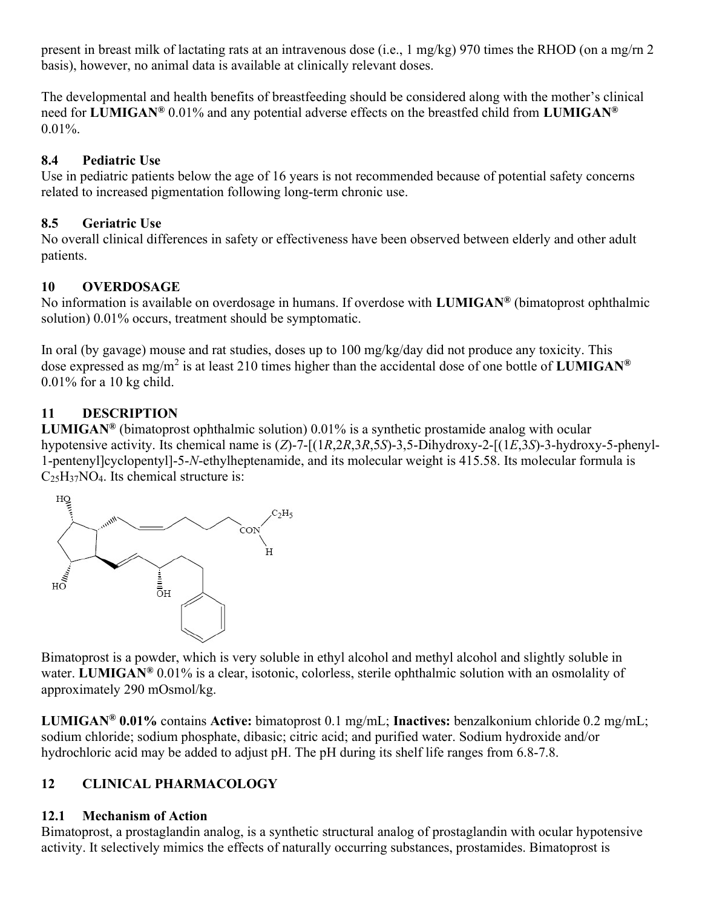present in breast milk of lactating rats at an intravenous dose (i.e., 1 mg/kg) 970 times the RHOD (on a mg/rn 2 basis), however, no animal data is available at clinically relevant doses.

The developmental and health benefits of breastfeeding should be considered along with the mother's clinical need for LUMIGAN<sup>®</sup> 0.01% and any potential adverse effects on the breastfed child from LUMIGAN<sup>®</sup>  $0.01\%$ .

### 8.4 Pediatric Use

Use in pediatric patients below the age of 16 years is not recommended because of potential safety concerns related to increased pigmentation following long-term chronic use.

### 8.5 Geriatric Use

No overall clinical differences in safety or effectiveness have been observed between elderly and other adult patients.

## 10 OVERDOSAGE

No information is available on overdosage in humans. If overdose with LUMIGAN® (bimatoprost ophthalmic solution) 0.01% occurs, treatment should be symptomatic.

In oral (by gavage) mouse and rat studies, doses up to 100 mg/kg/day did not produce any toxicity. This dose expressed as mg/m<sup>2</sup> is at least 210 times higher than the accidental dose of one bottle of LUMIGAN<sup>®</sup> 0.01% for a 10 kg child.

## 11 DESCRIPTION

**LUMIGAN<sup>®</sup>** (bimatoprost ophthalmic solution) 0.01% is a synthetic prostamide analog with ocular hypotensive activity. Its chemical name is (Z)-7-[(1R,2R,3R,5S)-3,5-Dihydroxy-2-[(1E,3S)-3-hydroxy-5-phenyl-1-pentenyl]cyclopentyl]-5-N-ethylheptenamide, and its molecular weight is 415.58. Its molecular formula is  $C_{25}H_{37}NO_4$ . Its chemical structure is:



Bimatoprost is a powder, which is very soluble in ethyl alcohol and methyl alcohol and slightly soluble in water. LUMIGAN<sup>®</sup> 0.01% is a clear, isotonic, colorless, sterile ophthalmic solution with an osmolality of approximately 290 mOsmol/kg.

LUMIGAN® 0.01% contains Active: bimatoprost 0.1 mg/mL; Inactives: benzalkonium chloride 0.2 mg/mL; sodium chloride; sodium phosphate, dibasic; citric acid; and purified water. Sodium hydroxide and/or hydrochloric acid may be added to adjust pH. The pH during its shelf life ranges from 6.8-7.8.

# 12 CLINICAL PHARMACOLOGY

## 12.1 Mechanism of Action

Bimatoprost, a prostaglandin analog, is a synthetic structural analog of prostaglandin with ocular hypotensive activity. It selectively mimics the effects of naturally occurring substances, prostamides. Bimatoprost is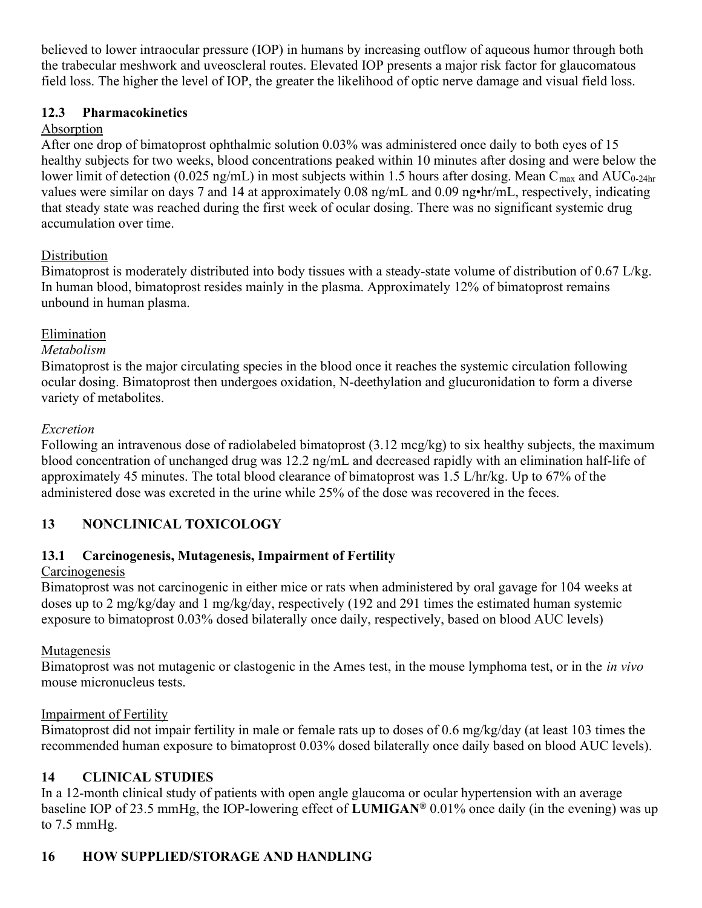believed to lower intraocular pressure (IOP) in humans by increasing outflow of aqueous humor through both the trabecular meshwork and uveoscleral routes. Elevated IOP presents a major risk factor for glaucomatous field loss. The higher the level of IOP, the greater the likelihood of optic nerve damage and visual field loss.

## 12.3 Pharmacokinetics

## Absorption

After one drop of bimatoprost ophthalmic solution 0.03% was administered once daily to both eyes of 15 healthy subjects for two weeks, blood concentrations peaked within 10 minutes after dosing and were below the lower limit of detection (0.025 ng/mL) in most subjects within 1.5 hours after dosing. Mean C<sub>max</sub> and AUC<sub>0-24hr</sub> values were similar on days 7 and 14 at approximately 0.08 ng/mL and 0.09 ng•hr/mL, respectively, indicating that steady state was reached during the first week of ocular dosing. There was no significant systemic drug accumulation over time.

## **Distribution**

Bimatoprost is moderately distributed into body tissues with a steady-state volume of distribution of 0.67 L/kg. In human blood, bimatoprost resides mainly in the plasma. Approximately 12% of bimatoprost remains unbound in human plasma.

## Elimination

### Metabolism

Bimatoprost is the major circulating species in the blood once it reaches the systemic circulation following ocular dosing. Bimatoprost then undergoes oxidation, N-deethylation and glucuronidation to form a diverse variety of metabolites.

## Excretion

Following an intravenous dose of radiolabeled bimatoprost (3.12 mcg/kg) to six healthy subjects, the maximum blood concentration of unchanged drug was 12.2 ng/mL and decreased rapidly with an elimination half-life of approximately 45 minutes. The total blood clearance of bimatoprost was 1.5 L/hr/kg. Up to 67% of the administered dose was excreted in the urine while 25% of the dose was recovered in the feces.

# 13 NONCLINICAL TOXICOLOGY

# 13.1 Carcinogenesis, Mutagenesis, Impairment of Fertility

## **Carcinogenesis**

Bimatoprost was not carcinogenic in either mice or rats when administered by oral gavage for 104 weeks at doses up to 2 mg/kg/day and 1 mg/kg/day, respectively (192 and 291 times the estimated human systemic exposure to bimatoprost 0.03% dosed bilaterally once daily, respectively, based on blood AUC levels)

## Mutagenesis

Bimatoprost was not mutagenic or clastogenic in the Ames test, in the mouse lymphoma test, or in the *in vivo* mouse micronucleus tests.

## Impairment of Fertility

Bimatoprost did not impair fertility in male or female rats up to doses of 0.6 mg/kg/day (at least 103 times the recommended human exposure to bimatoprost 0.03% dosed bilaterally once daily based on blood AUC levels).

# 14 CLINICAL STUDIES

In a 12-month clinical study of patients with open angle glaucoma or ocular hypertension with an average baseline IOP of 23.5 mmHg, the IOP-lowering effect of LUMIGAN® 0.01% once daily (in the evening) was up to 7.5 mmHg.

# 16 HOW SUPPLIED/STORAGE AND HANDLING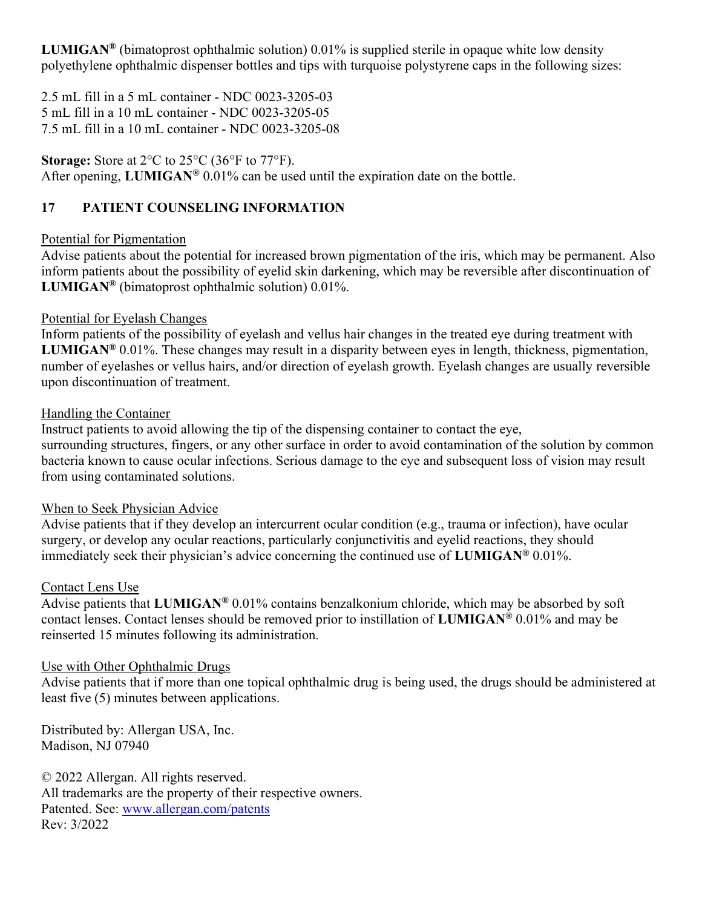**LUMIGAN<sup>®</sup>** (bimatoprost ophthalmic solution) 0.01% is supplied sterile in opaque white low density polyethylene ophthalmic dispenser bottles and tips with turquoise polystyrene caps in the following sizes:

2.5 mL fill in a 5 mL container - NDC 0023-3205-03 5 mL fill in a 10 mL container - NDC 0023-3205-05 7.5 mL fill in a 10 mL container - NDC 0023-3205-08

Storage: Store at 2<sup>o</sup>C to 25<sup>o</sup>C (36<sup>o</sup>F to 77<sup>o</sup>F). After opening, LUMIGAN<sup>®</sup> 0.01% can be used until the expiration date on the bottle.

## 17 PATIENT COUNSELING INFORMATION

### Potential for Pigmentation

Advise patients about the potential for increased brown pigmentation of the iris, which may be permanent. Also inform patients about the possibility of eyelid skin darkening, which may be reversible after discontinuation of **LUMIGAN®** (bimatoprost ophthalmic solution)  $0.01\%$ .

### Potential for Eyelash Changes

Inform patients of the possibility of eyelash and vellus hair changes in the treated eye during treatment with **LUMIGAN<sup>®</sup> 0.01%.** These changes may result in a disparity between eyes in length, thickness, pigmentation, number of eyelashes or vellus hairs, and/or direction of eyelash growth. Eyelash changes are usually reversible upon discontinuation of treatment.

### Handling the Container

Instruct patients to avoid allowing the tip of the dispensing container to contact the eye, surrounding structures, fingers, or any other surface in order to avoid contamination of the solution by common bacteria known to cause ocular infections. Serious damage to the eye and subsequent loss of vision may result from using contaminated solutions.

### When to Seek Physician Advice

Advise patients that if they develop an intercurrent ocular condition (e.g., trauma or infection), have ocular surgery, or develop any ocular reactions, particularly conjunctivitis and eyelid reactions, they should immediately seek their physician's advice concerning the continued use of  $LUMIGAN^@$  0.01%.

### Contact Lens Use

Advise patients that LUMIGAN® 0.01% contains benzalkonium chloride, which may be absorbed by soft contact lenses. Contact lenses should be removed prior to instillation of LUMIGAN® 0.01% and may be reinserted 15 minutes following its administration.

### Use with Other Ophthalmic Drugs

Advise patients that if more than one topical ophthalmic drug is being used, the drugs should be administered at least five (5) minutes between applications.

Distributed by: Allergan USA, Inc. Madison, NJ 07940

© 2022 Allergan. All rights reserved. All trademarks are the property of their respective owners. Patented. See: www.allergan.com/patents Rev: 3/2022